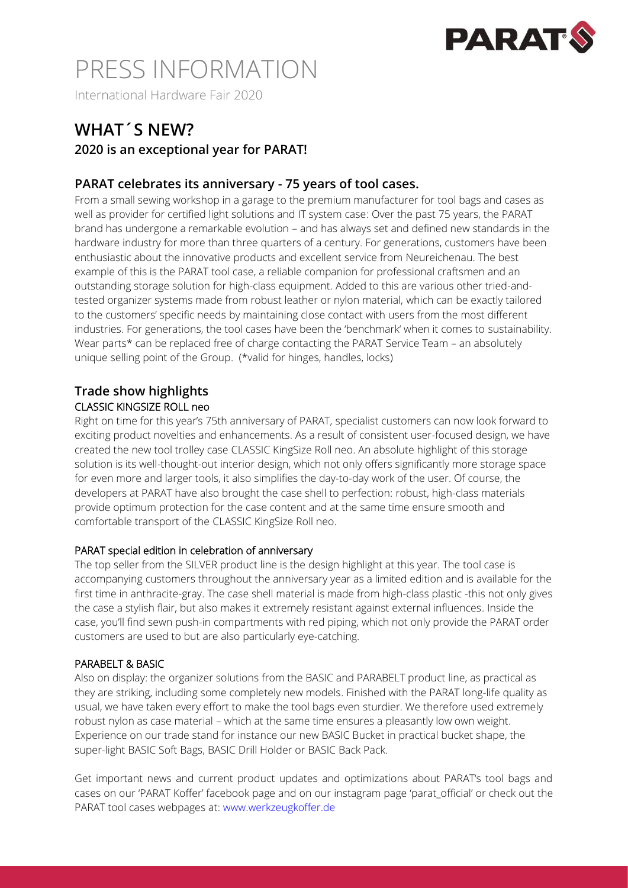

International Hardware Fair 2020

### **WHAT´S NEW?**

### **2020 is an exceptional year for PARAT!**

### **PARAT celebrates its anniversary - 75 years of tool cases.**

From a small sewing workshop in a garage to the premium manufacturer for tool bags and cases as well as provider for certified light solutions and IT system case: Over the past 75 years, the PARAT brand has undergone a remarkable evolution – and has always set and defined new standards in the hardware industry for more than three quarters of a century. For generations, customers have been enthusiastic about the innovative products and excellent service from Neureichenau. The best example of this is the PARAT tool case, a reliable companion for professional craftsmen and an outstanding storage solution for high-class equipment. Added to this are various other tried-andtested organizer systems made from robust leather or nylon material, which can be exactly tailored to the customers' specific needs by maintaining close contact with users from the most different industries. For generations, the tool cases have been the 'benchmark' when it comes to sustainability. Wear parts\* can be replaced free of charge contacting the PARAT Service Team – an absolutely unique selling point of the Group. (\*valid for hinges, handles, locks)

### **Trade show highlights** CLASSIC KINGSIZE ROLL neo

Right on time for this year's 75th anniversary of PARAT, specialist customers can now look forward to exciting product novelties and enhancements. As a result of consistent user-focused design, we have created the new tool trolley case CLASSIC KingSize Roll neo. An absolute highlight of this storage solution is its well-thought-out interior design, which not only offers significantly more storage space for even more and larger tools, it also simplifies the day-to-day work of the user. Of course, the developers at PARAT have also brought the case shell to perfection: robust, high-class materials provide optimum protection for the case content and at the same time ensure smooth and comfortable transport of the CLASSIC KingSize Roll neo.

### PARAT special edition in celebration of anniversary

The top seller from the SILVER product line is the design highlight at this year. The tool case is accompanying customers throughout the anniversary year as a limited edition and is available for the first time in anthracite-gray. The case shell material is made from high-class plastic -this not only gives the case a stylish flair, but also makes it extremely resistant against external influences. Inside the case, you'll find sewn push-in compartments with red piping, which not only provide the PARAT order customers are used to but are also particularly eye-catching.

### PARABELT & BASIC

Also on display: the organizer solutions from the BASIC and PARABELT product line, as practical as they are striking, including some completely new models. Finished with the PARAT long-life quality as usual, we have taken every effort to make the tool bags even sturdier. We therefore used extremely robust nylon as case material – which at the same time ensures a pleasantly low own weight. Experience on our trade stand for instance our new BASIC Bucket in practical bucket shape, the super-light BASIC Soft Bags, BASIC Drill Holder or BASIC Back Pack.

Get important news and current product updates and optimizations about PARAT's tool bags and cases on our 'PARAT Koffer' facebook page and on our instagram page 'parat official' or check out the PARAT tool cases webpages at: www.werkzeugkoffer.de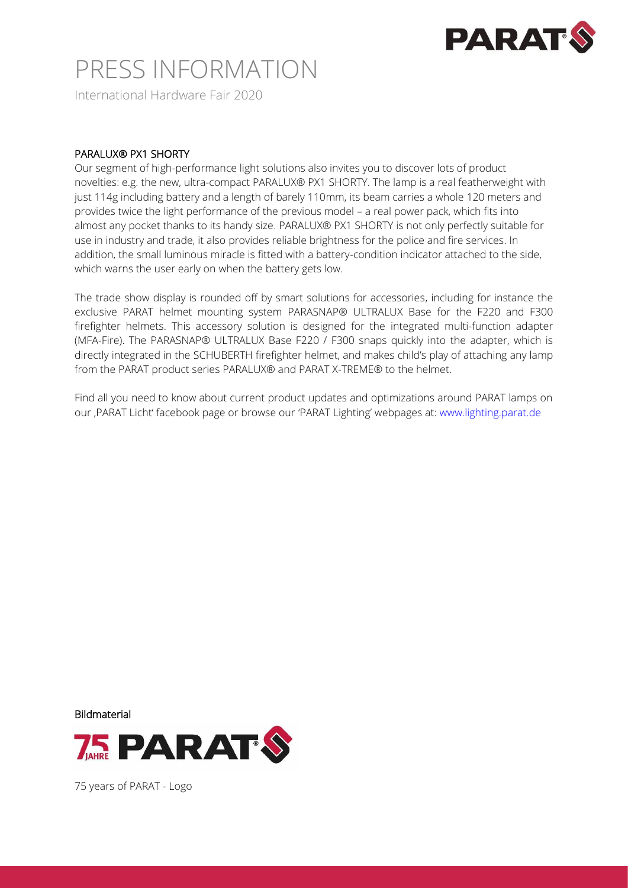

International Hardware Fair 2020

### PARALUX® PX1 SHORTY

Our segment of high-performance light solutions also invites you to discover lots of product novelties: e.g. the new, ultra-compact PARALUX® PX1 SHORTY. The lamp is a real featherweight with just 114g including battery and a length of barely 110mm, its beam carries a whole 120 meters and provides twice the light performance of the previous model – a real power pack, which fits into almost any pocket thanks to its handy size. PARALUX® PX1 SHORTY is not only perfectly suitable for use in industry and trade, it also provides reliable brightness for the police and fire services. In addition, the small luminous miracle is fitted with a battery-condition indicator attached to the side, which warns the user early on when the battery gets low.

The trade show display is rounded off by smart solutions for accessories, including for instance the exclusive PARAT helmet mounting system PARASNAP® ULTRALUX Base for the F220 and F300 firefighter helmets. This accessory solution is designed for the integrated multi-function adapter (MFA-Fire). The PARASNAP® ULTRALUX Base F220 / F300 snaps quickly into the adapter, which is directly integrated in the SCHUBERTH firefighter helmet, and makes child's play of attaching any lamp from the PARAT product series PARALUX® and PARAT X-TREME® to the helmet.

Find all you need to know about current product updates and optimizations around PARAT lamps on our ,PARAT Licht' facebook page or browse our 'PARAT Lighting' webpages at: www.lighting.parat.de

Bildmaterial



75 years of PARAT - Logo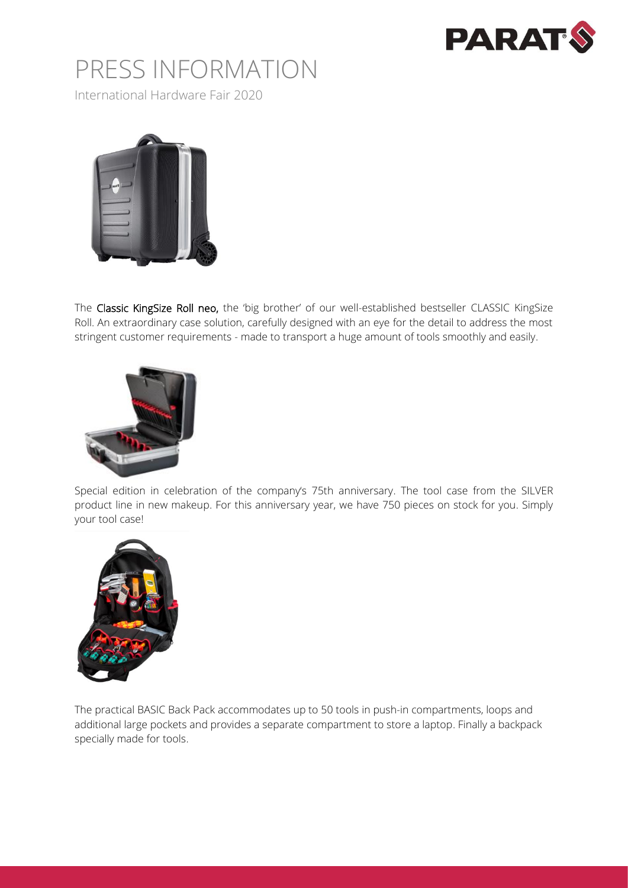

International Hardware Fair 2020



The Classic KingSize Roll neo, the 'big brother' of our well-established bestseller CLASSIC KingSize Roll. An extraordinary case solution, carefully designed with an eye for the detail to address the most stringent customer requirements - made to transport a huge amount of tools smoothly and easily.



Special edition in celebration of the company's 75th anniversary. The tool case from the SILVER product line in new makeup. For this anniversary year, we have 750 pieces on stock for you. Simply your tool case!



The practical BASIC Back Pack accommodates up to 50 tools in push-in compartments, loops and additional large pockets and provides a separate compartment to store a laptop. Finally a backpack specially made for tools.